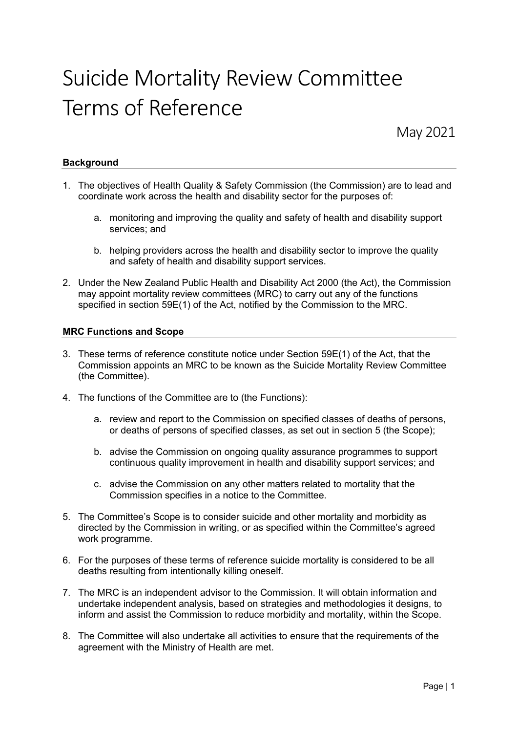# Suicide Mortality Review Committee Terms of Reference

May 2021

# **Background**

- 1. The objectives of Health Quality & Safety Commission (the Commission) are to lead and coordinate work across the health and disability sector for the purposes of:
	- a. monitoring and improving the quality and safety of health and disability support services; and
	- b. helping providers across the health and disability sector to improve the quality and safety of health and disability support services.
- 2. Under the New Zealand Public Health and Disability Act 2000 (the Act), the Commission may appoint mortality review committees (MRC) to carry out any of the functions specified in section 59E(1) of the Act, notified by the Commission to the MRC.

# MRC Functions and Scope

- 3. These terms of reference constitute notice under Section 59E(1) of the Act, that the Commission appoints an MRC to be known as the Suicide Mortality Review Committee (the Committee).
- 4. The functions of the Committee are to (the Functions):
	- a. review and report to the Commission on specified classes of deaths of persons, or deaths of persons of specified classes, as set out in section 5 (the Scope);
	- b. advise the Commission on ongoing quality assurance programmes to support continuous quality improvement in health and disability support services; and
	- c. advise the Commission on any other matters related to mortality that the Commission specifies in a notice to the Committee.
- 5. The Committee's Scope is to consider suicide and other mortality and morbidity as directed by the Commission in writing, or as specified within the Committee's agreed work programme.
- 6. For the purposes of these terms of reference suicide mortality is considered to be all deaths resulting from intentionally killing oneself.
- 7. The MRC is an independent advisor to the Commission. It will obtain information and undertake independent analysis, based on strategies and methodologies it designs, to inform and assist the Commission to reduce morbidity and mortality, within the Scope.
- 8. The Committee will also undertake all activities to ensure that the requirements of the agreement with the Ministry of Health are met.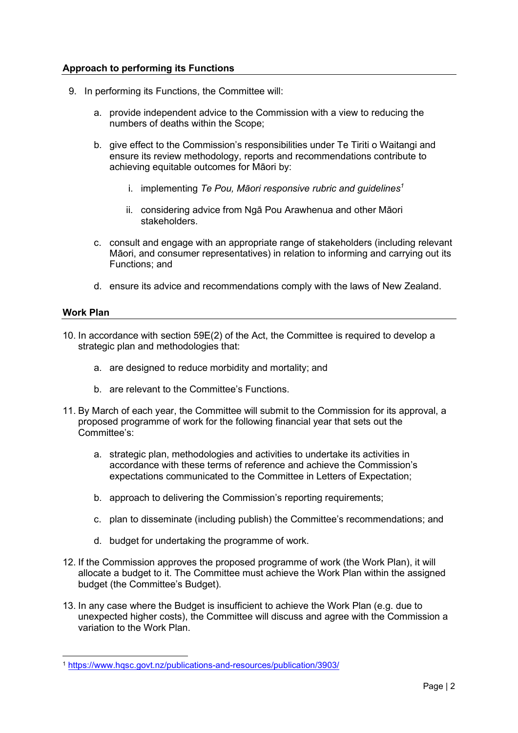# Approach to performing its Functions

- 9. In performing its Functions, the Committee will:
	- a. provide independent advice to the Commission with a view to reducing the numbers of deaths within the Scope;
	- b. give effect to the Commission's responsibilities under Te Tiriti o Waitangi and ensure its review methodology, reports and recommendations contribute to achieving equitable outcomes for Māori by:
		- i. implementing Te Pou, Māori responsive rubric and guidelines<sup>1</sup>
		- ii. considering advice from Ngā Pou Arawhenua and other Māori stakeholders.
	- c. consult and engage with an appropriate range of stakeholders (including relevant Māori, and consumer representatives) in relation to informing and carrying out its Functions; and
	- d. ensure its advice and recommendations comply with the laws of New Zealand.

## Work Plan

- 10. In accordance with section 59E(2) of the Act, the Committee is required to develop a strategic plan and methodologies that:
	- a. are designed to reduce morbidity and mortality; and
	- b. are relevant to the Committee's Functions.
- 11. By March of each year, the Committee will submit to the Commission for its approval, a proposed programme of work for the following financial year that sets out the Committee's:
	- a. strategic plan, methodologies and activities to undertake its activities in accordance with these terms of reference and achieve the Commission's expectations communicated to the Committee in Letters of Expectation;
	- b. approach to delivering the Commission's reporting requirements;
	- c. plan to disseminate (including publish) the Committee's recommendations; and
	- d. budget for undertaking the programme of work.
- 12. If the Commission approves the proposed programme of work (the Work Plan), it will allocate a budget to it. The Committee must achieve the Work Plan within the assigned budget (the Committee's Budget).
- 13. In any case where the Budget is insufficient to achieve the Work Plan (e.g. due to unexpected higher costs), the Committee will discuss and agree with the Commission a variation to the Work Plan.

<sup>1</sup> https://www.hqsc.govt.nz/publications-and-resources/publication/3903/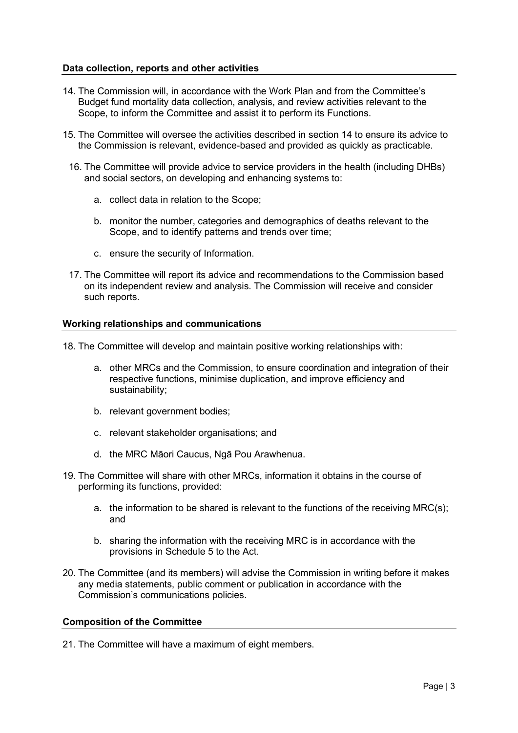### Data collection, reports and other activities

- 14. The Commission will, in accordance with the Work Plan and from the Committee's Budget fund mortality data collection, analysis, and review activities relevant to the Scope, to inform the Committee and assist it to perform its Functions.
- 15. The Committee will oversee the activities described in section 14 to ensure its advice to the Commission is relevant, evidence-based and provided as quickly as practicable.
	- 16. The Committee will provide advice to service providers in the health (including DHBs) and social sectors, on developing and enhancing systems to:
		- a. collect data in relation to the Scope;
		- b. monitor the number, categories and demographics of deaths relevant to the Scope, and to identify patterns and trends over time;
		- c. ensure the security of Information.
	- 17. The Committee will report its advice and recommendations to the Commission based on its independent review and analysis. The Commission will receive and consider such reports.

## Working relationships and communications

18. The Committee will develop and maintain positive working relationships with:

- a. other MRCs and the Commission, to ensure coordination and integration of their respective functions, minimise duplication, and improve efficiency and sustainability;
- b. relevant government bodies;
- c. relevant stakeholder organisations; and
- d. the MRC Māori Caucus, Ngā Pou Arawhenua.
- 19. The Committee will share with other MRCs, information it obtains in the course of performing its functions, provided:
	- a. the information to be shared is relevant to the functions of the receiving MRC(s); and
	- b. sharing the information with the receiving MRC is in accordance with the provisions in Schedule 5 to the Act.
- 20. The Committee (and its members) will advise the Commission in writing before it makes any media statements, public comment or publication in accordance with the Commission's communications policies.

# Composition of the Committee

21. The Committee will have a maximum of eight members.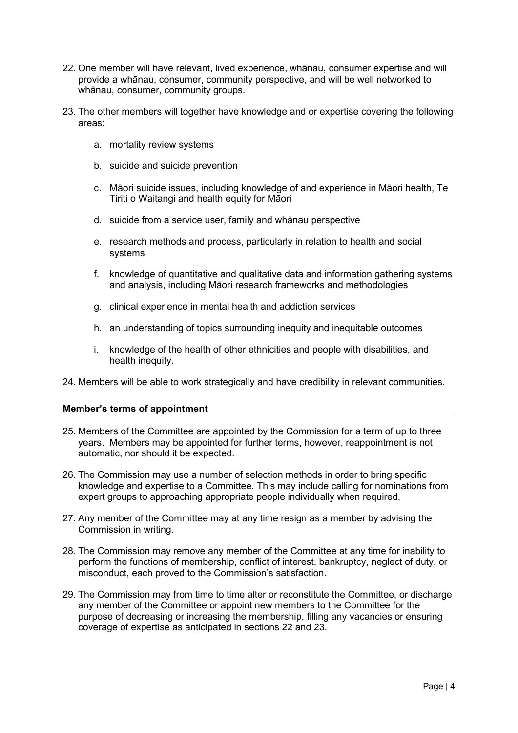- 22. One member will have relevant, lived experience, whānau, consumer expertise and will provide a whānau, consumer, community perspective, and will be well networked to whānau, consumer, community groups.
- 23. The other members will together have knowledge and or expertise covering the following areas:
	- a. mortality review systems
	- b. suicide and suicide prevention
	- c. Māori suicide issues, including knowledge of and experience in Māori health, Te Tiriti o Waitangi and health equity for Māori
	- d. suicide from a service user, family and whānau perspective
	- e. research methods and process, particularly in relation to health and social systems
	- f. knowledge of quantitative and qualitative data and information gathering systems and analysis, including Māori research frameworks and methodologies
	- g. clinical experience in mental health and addiction services
	- h. an understanding of topics surrounding inequity and inequitable outcomes
	- i. knowledge of the health of other ethnicities and people with disabilities, and health inequity.
- 24. Members will be able to work strategically and have credibility in relevant communities.

# Member's terms of appointment

- 25. Members of the Committee are appointed by the Commission for a term of up to three years. Members may be appointed for further terms, however, reappointment is not automatic, nor should it be expected.
- 26. The Commission may use a number of selection methods in order to bring specific knowledge and expertise to a Committee. This may include calling for nominations from expert groups to approaching appropriate people individually when required.
- 27. Any member of the Committee may at any time resign as a member by advising the Commission in writing.
- 28. The Commission may remove any member of the Committee at any time for inability to perform the functions of membership, conflict of interest, bankruptcy, neglect of duty, or misconduct, each proved to the Commission's satisfaction.
- 29. The Commission may from time to time alter or reconstitute the Committee, or discharge any member of the Committee or appoint new members to the Committee for the purpose of decreasing or increasing the membership, filling any vacancies or ensuring coverage of expertise as anticipated in sections 22 and 23.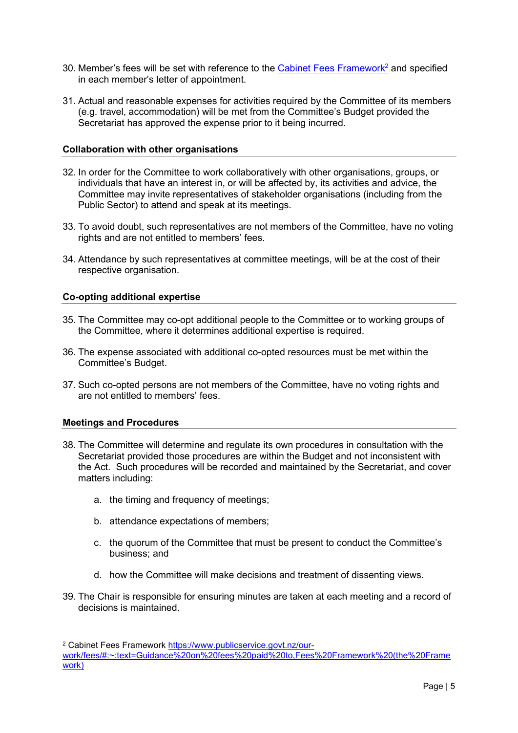- 30. Member's fees will be set with reference to the Cabinet Fees Framework<sup>2</sup> and specified in each member's letter of appointment.
- 31. Actual and reasonable expenses for activities required by the Committee of its members (e.g. travel, accommodation) will be met from the Committee's Budget provided the Secretariat has approved the expense prior to it being incurred.

## Collaboration with other organisations

- 32. In order for the Committee to work collaboratively with other organisations, groups, or individuals that have an interest in, or will be affected by, its activities and advice, the Committee may invite representatives of stakeholder organisations (including from the Public Sector) to attend and speak at its meetings.
- 33. To avoid doubt, such representatives are not members of the Committee, have no voting rights and are not entitled to members' fees.
- 34. Attendance by such representatives at committee meetings, will be at the cost of their respective organisation.

## Co-opting additional expertise

- 35. The Committee may co-opt additional people to the Committee or to working groups of the Committee, where it determines additional expertise is required.
- 36. The expense associated with additional co-opted resources must be met within the Committee's Budget.
- 37. Such co-opted persons are not members of the Committee, have no voting rights and are not entitled to members' fees.

#### Meetings and Procedures

- 38. The Committee will determine and regulate its own procedures in consultation with the Secretariat provided those procedures are within the Budget and not inconsistent with the Act. Such procedures will be recorded and maintained by the Secretariat, and cover matters including:
	- a. the timing and frequency of meetings;
	- b. attendance expectations of members;
	- c. the quorum of the Committee that must be present to conduct the Committee's business; and
	- d. how the Committee will make decisions and treatment of dissenting views.
- 39. The Chair is responsible for ensuring minutes are taken at each meeting and a record of decisions is maintained.

<sup>&</sup>lt;sup>2</sup> Cabinet Fees Framework https://www.publicservice.govt.nz/our-

work/fees/#:~:text=Guidance%20on%20fees%20paid%20to,Fees%20Framework%20(the%20Frame work)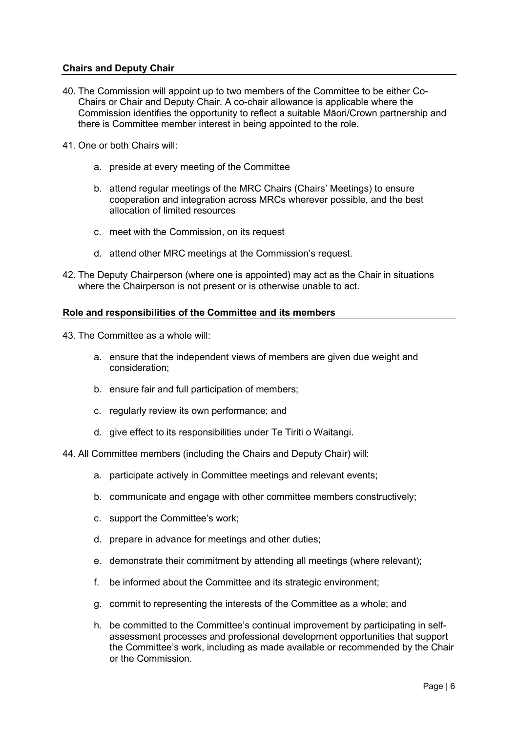## Chairs and Deputy Chair

- 40. The Commission will appoint up to two members of the Committee to be either Co-Chairs or Chair and Deputy Chair. A co-chair allowance is applicable where the Commission identifies the opportunity to reflect a suitable Māori/Crown partnership and there is Committee member interest in being appointed to the role.
- 41. One or both Chairs will:
	- a. preside at every meeting of the Committee
	- b. attend regular meetings of the MRC Chairs (Chairs' Meetings) to ensure cooperation and integration across MRCs wherever possible, and the best allocation of limited resources
	- c. meet with the Commission, on its request
	- d. attend other MRC meetings at the Commission's request.
- 42. The Deputy Chairperson (where one is appointed) may act as the Chair in situations where the Chairperson is not present or is otherwise unable to act.

#### Role and responsibilities of the Committee and its members

43. The Committee as a whole will:

- a. ensure that the independent views of members are given due weight and consideration;
- b. ensure fair and full participation of members;
- c. regularly review its own performance; and
- d. give effect to its responsibilities under Te Tiriti o Waitangi.

44. All Committee members (including the Chairs and Deputy Chair) will:

- a. participate actively in Committee meetings and relevant events;
- b. communicate and engage with other committee members constructively;
- c. support the Committee's work;
- d. prepare in advance for meetings and other duties;
- e. demonstrate their commitment by attending all meetings (where relevant);
- f. be informed about the Committee and its strategic environment;
- g. commit to representing the interests of the Committee as a whole; and
- h. be committed to the Committee's continual improvement by participating in selfassessment processes and professional development opportunities that support the Committee's work, including as made available or recommended by the Chair or the Commission.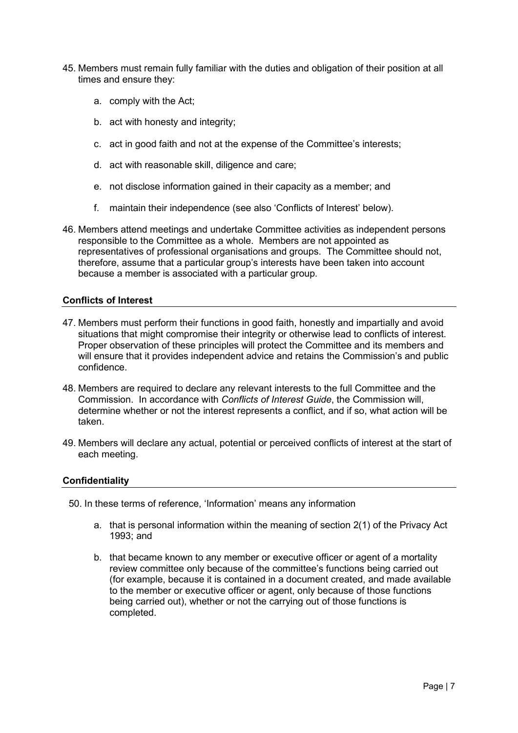- 45. Members must remain fully familiar with the duties and obligation of their position at all times and ensure they:
	- a. comply with the Act;
	- b. act with honesty and integrity;
	- c. act in good faith and not at the expense of the Committee's interests;
	- d. act with reasonable skill, diligence and care;
	- e. not disclose information gained in their capacity as a member; and
	- f. maintain their independence (see also 'Conflicts of Interest' below).
- 46. Members attend meetings and undertake Committee activities as independent persons responsible to the Committee as a whole. Members are not appointed as representatives of professional organisations and groups. The Committee should not, therefore, assume that a particular group's interests have been taken into account because a member is associated with a particular group.

## Conflicts of Interest

- 47. Members must perform their functions in good faith, honestly and impartially and avoid situations that might compromise their integrity or otherwise lead to conflicts of interest. Proper observation of these principles will protect the Committee and its members and will ensure that it provides independent advice and retains the Commission's and public confidence.
- 48. Members are required to declare any relevant interests to the full Committee and the Commission. In accordance with Conflicts of Interest Guide, the Commission will, determine whether or not the interest represents a conflict, and if so, what action will be taken.
- 49. Members will declare any actual, potential or perceived conflicts of interest at the start of each meeting.

#### **Confidentiality**

- 50. In these terms of reference, 'Information' means any information
	- a. that is personal information within the meaning of section 2(1) of the Privacy Act 1993; and
	- b. that became known to any member or executive officer or agent of a mortality review committee only because of the committee's functions being carried out (for example, because it is contained in a document created, and made available to the member or executive officer or agent, only because of those functions being carried out), whether or not the carrying out of those functions is completed.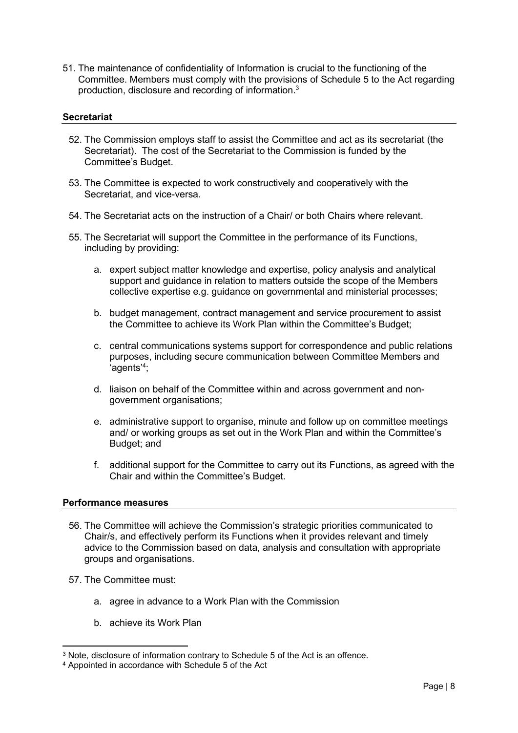51. The maintenance of confidentiality of Information is crucial to the functioning of the Committee. Members must comply with the provisions of Schedule 5 to the Act regarding production, disclosure and recording of information.<sup>3</sup>

## **Secretariat**

- 52. The Commission employs staff to assist the Committee and act as its secretariat (the Secretariat). The cost of the Secretariat to the Commission is funded by the Committee's Budget.
- 53. The Committee is expected to work constructively and cooperatively with the Secretariat, and vice-versa.
- 54. The Secretariat acts on the instruction of a Chair/ or both Chairs where relevant.
- 55. The Secretariat will support the Committee in the performance of its Functions, including by providing:
	- a. expert subject matter knowledge and expertise, policy analysis and analytical support and guidance in relation to matters outside the scope of the Members collective expertise e.g. guidance on governmental and ministerial processes;
	- b. budget management, contract management and service procurement to assist the Committee to achieve its Work Plan within the Committee's Budget;
	- c. central communications systems support for correspondence and public relations purposes, including secure communication between Committee Members and 'agents'<sup>4</sup> ;
	- d. liaison on behalf of the Committee within and across government and nongovernment organisations;
	- e. administrative support to organise, minute and follow up on committee meetings and/ or working groups as set out in the Work Plan and within the Committee's Budget; and
	- f. additional support for the Committee to carry out its Functions, as agreed with the Chair and within the Committee's Budget.

#### Performance measures

- 56. The Committee will achieve the Commission's strategic priorities communicated to Chair/s, and effectively perform its Functions when it provides relevant and timely advice to the Commission based on data, analysis and consultation with appropriate groups and organisations.
- 57. The Committee must:
	- a. agree in advance to a Work Plan with the Commission
	- b. achieve its Work Plan

<sup>3</sup> Note, disclosure of information contrary to Schedule 5 of the Act is an offence.

<sup>4</sup> Appointed in accordance with Schedule 5 of the Act